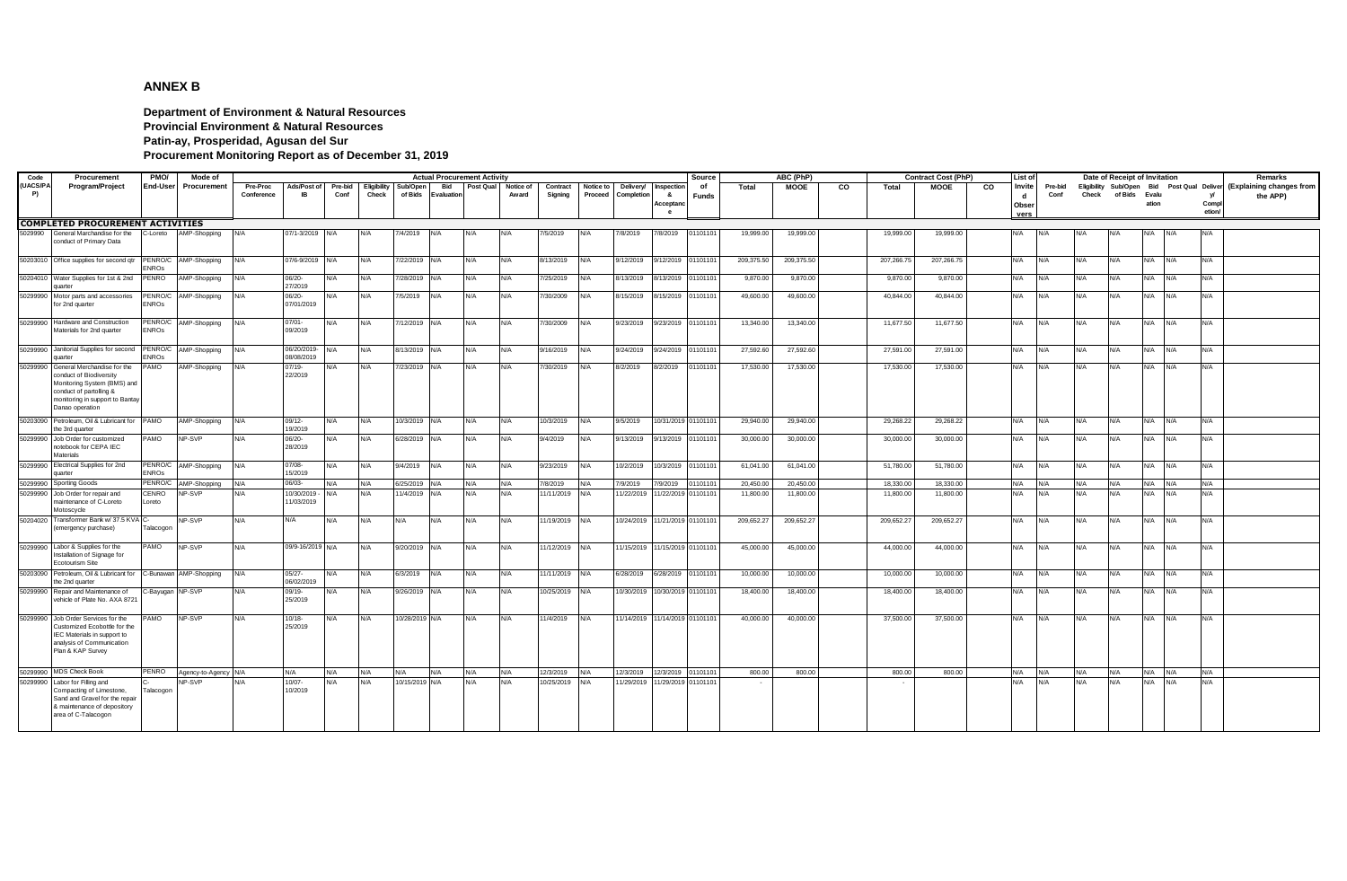## **ANNEX B**

**Department of Environment & Natural Resources Provincial Environment & Natural Resources Patin-ay, Prosperidad, Agusan del Sur Procurement Monitoring Report as of December 31, 2019**

| Code     | Procurement                                                  | PMO/           | Mode of              |            |                          |         |             |                |            | <b>Actual Procurement Activity</b> |                     |               |           |            |                     | Source       |            | ABC (PhP)   |    |            | <b>Contract Cost (PhP)</b> |           | List of |         |       | Date of Receipt of Invitation |       |            |        | Remarks                                                             |
|----------|--------------------------------------------------------------|----------------|----------------------|------------|--------------------------|---------|-------------|----------------|------------|------------------------------------|---------------------|---------------|-----------|------------|---------------------|--------------|------------|-------------|----|------------|----------------------------|-----------|---------|---------|-------|-------------------------------|-------|------------|--------|---------------------------------------------------------------------|
| (UACS/PA | <b>Program/Project</b>                                       | End-User       | Procurement          | Pre-Proc   | Ads/Post of              | Pre-bid | Eligibility | Sub/Open       | Bid        |                                    | Post Qual Notice of | Contract      | Notice to | Delivery/  | Inspection          | of           | Total      | <b>MOOE</b> | CO | Total      | <b>MOOE</b>                | <b>CO</b> | Invite  | Pre-bid |       |                               |       |            |        | Eligibility Sub/Open Bid Post Qual Deliver (Explaining changes from |
| P)       |                                                              |                |                      | Conference | <b>IR</b>                | Conf    | Check       | of Bids        | Evaluation |                                    | Award               | Signing       | Proceed   | Completion | 8.                  | <b>Funds</b> |            |             |    |            |                            |           | d       | Conf    | Check | of Bids Evalu                 |       |            | - v/   | the APP)                                                            |
|          |                                                              |                |                      |            |                          |         |             |                |            |                                    |                     |               |           |            | Acceptano           |              |            |             |    |            |                            |           | Obser   |         |       |                               | ation |            | Compl  |                                                                     |
|          |                                                              |                |                      |            |                          |         |             |                |            |                                    |                     |               |           |            | e                   |              |            |             |    |            |                            |           | vers    |         |       |                               |       |            | etion/ |                                                                     |
|          | <b>COMPLETED PROCUREMENT ACTIVITIES</b>                      |                |                      |            |                          |         |             |                |            |                                    |                     |               |           |            |                     |              |            |             |    |            |                            |           |         |         |       |                               |       |            |        |                                                                     |
| 5029990  | General Marchandise for the                                  | C-Loreto       | AMP-Shopping         | N/A        | 07/1-3/2019              | N/A     | N/A         | 7/4/2019       |            | N/A                                | N/A                 | 7/5/2019      | N/A       | 7/8/2019   | 7/8/2019            | 01101101     | 19,999.00  | 19,999.00   |    | 19,999.00  | 19,999.00                  | N/A       |         |         | N/A   | N/A                           |       |            | N/A    |                                                                     |
|          | conduct of Primary Data                                      |                |                      |            |                          |         |             |                |            |                                    |                     |               |           |            |                     |              |            |             |    |            |                            |           |         |         |       |                               |       |            |        |                                                                     |
|          |                                                              |                |                      |            |                          |         |             |                |            |                                    |                     |               |           |            |                     |              |            |             |    |            |                            |           |         |         |       |                               |       |            |        |                                                                     |
|          | 50203010 Office supplies for second qtr                      | PENRO/C        | AMP-Shopping         | N/A        | 07/6-9/2019              | N/A     | N/A         | //22/2019      | N/A        | N/A                                | N/A                 | 8/13/2019     | N/A       | 9/12/2019  | 9/12/2019           | 01101101     | 209,375.50 | 209,375.50  |    | 207,266.75 | 207,266.75                 | N/A       |         | N/A     | N/A   | N/A                           | N/A   | N/A        | N/A    |                                                                     |
|          |                                                              | <b>ENROS</b>   |                      |            |                          |         |             |                |            |                                    |                     |               |           |            |                     |              |            |             |    |            |                            |           |         |         |       |                               |       |            |        |                                                                     |
|          | 50204010 Water Supplies for 1st & 2nd                        | PENRO          | AMP-Shopping         | N/A        | 06/20-                   | N/A     | N/A         | 7/28/2019      | N/A        | N/A                                | N/A                 | 7/25/2019     | N/A       | 8/13/2019  | 8/13/2019           | 01101101     | 9,870.00   | 9,870.00    |    | 9,870.00   | 9,870.00                   | N/A       |         | N/A     | N/A   | N/A                           | N/A   | N/A        | N/A    |                                                                     |
|          | uarte                                                        |                |                      |            | 27/2019                  |         |             |                |            |                                    |                     |               |           |            |                     |              |            |             |    |            |                            |           |         |         |       |                               |       |            |        |                                                                     |
|          | 50299990 Motor parts and accessories                         | PENRO/C        | AMP-Shopping         | N/A        | 06/20-                   | N/A     | N/A         | 7/5/2019       | N/A        | N/A                                | N/A                 | 7/30/2009     | N/A       | 8/15/2019  | 8/15/2019           | 01101101     | 49,600.00  | 49,600.00   |    | 40,844.00  | 40,844.00                  | N/A       |         | N/A     | N/A   | N/A                           | N/A   | N/A        | N/A    |                                                                     |
|          | for 2nd quarter                                              | ENROS          |                      |            | 07/01/2019               |         |             |                |            |                                    |                     |               |           |            |                     |              |            |             |    |            |                            |           |         |         |       |                               |       |            |        |                                                                     |
|          | 50299990 Hardware and Construction                           | PENRO/C        |                      |            | $07/01 -$                |         |             |                |            |                                    | N/A                 |               |           |            |                     |              |            |             |    |            |                            |           |         | N/A     |       |                               |       |            |        |                                                                     |
|          | Materials for 2nd quarter                                    | ENROs          | AMP-Shopping         | N/A        | 09/2019                  | N/A     | N/A         | 7/12/2019      | N/A        | N/A                                |                     | 7/30/2009     | N/A       | 9/23/2019  | 9/23/2019           | 01101101     | 13,340.00  | 13,340.00   |    | 11,677.50  | 11,677.50                  | N/A       |         |         | N/A   | N/A                           | N/A   | N/A        | N/A    |                                                                     |
|          |                                                              |                |                      |            |                          |         |             |                |            |                                    |                     |               |           |            |                     |              |            |             |    |            |                            |           |         |         |       |                               |       |            |        |                                                                     |
|          | 50299990 Janitorial Supplies for second PENRO/C AMP-Shopping |                |                      | N/A        | 06/20/2019-              | N/A     | N/A         | 8/13/2019 N/A  |            | N/A                                | N/A                 | 9/16/2019     | N/A       | 9/24/2019  | 9/24/2019           | 01101101     | 27,592.60  | 27,592.60   |    | 27,591.00  | 27,591.00                  | N/A       |         | N/A     | N/A   | N/A                           | N/A   | N/A        | N/A    |                                                                     |
|          | uarte                                                        | <b>ENROS</b>   |                      |            | 08/08/2019               |         |             |                |            |                                    |                     |               |           |            |                     |              |            |             |    |            |                            |           |         |         |       |                               |       |            |        |                                                                     |
| 50299990 | General Merchandise for the                                  | PAMO           | AMP-Shopping         | N/A        | $07/19 -$                | N/A     | N/A         | 7/23/2019      | N/A        | N/A                                | N/A                 | 7/30/2019     | N/A       | 8/2/2019   | 3/2/2019            | 01101101     | 17,530.00  | 17,530.00   |    | 17,530.00  | 17,530.00                  | N/A       |         | N/A     | N/A   | N/A                           | N/A   | N/A        | N/A    |                                                                     |
|          | conduct of Biodiversity                                      |                |                      |            | 22/2019                  |         |             |                |            |                                    |                     |               |           |            |                     |              |            |             |    |            |                            |           |         |         |       |                               |       |            |        |                                                                     |
|          | Monitoring System (BMS) and<br>conduct of partolling &       |                |                      |            |                          |         |             |                |            |                                    |                     |               |           |            |                     |              |            |             |    |            |                            |           |         |         |       |                               |       |            |        |                                                                     |
|          | monitoring in support to Bantay                              |                |                      |            |                          |         |             |                |            |                                    |                     |               |           |            |                     |              |            |             |    |            |                            |           |         |         |       |                               |       |            |        |                                                                     |
|          | Danao operation                                              |                |                      |            |                          |         |             |                |            |                                    |                     |               |           |            |                     |              |            |             |    |            |                            |           |         |         |       |                               |       |            |        |                                                                     |
|          | 50203090 Petroleum, Oil & Lubricant for                      | PAMO           | AMP-Shopping         | N/A        | 09/12-                   | N/A     | N/A         | 10/3/2019 N/A  |            | N/A                                | N/A                 | 10/3/2019     | N/A       | 9/5/2019   | 10/31/2019 01101101 |              | 29,940.00  | 29,940.00   |    | 29,268.22  | 29,268.22                  | N/A       |         | N/A     | N/A   | N/A                           | N/A   | N/A        | N/A    |                                                                     |
|          | the 3rd quarter                                              |                |                      |            | 19/2019                  |         |             |                |            |                                    |                     |               |           |            |                     |              |            |             |    |            |                            |           |         |         |       |                               |       |            |        |                                                                     |
|          | 50299990 Job Order for customized                            | <b>OMA</b>     | NP-SVP               | N/A        | 06/20-                   | N/A     | N/A         | 6/28/2019      | N/A        | N/A                                | N/A                 | 9/4/2019      | N/A       | 9/13/2019  | 9/13/2019           | 01101101     | 30,000.00  | 30,000.00   |    | 30,000.00  | 30,000.00                  | N/A       |         | N/A     | N/A   | N/A                           | N/A   | N/A        | N/A    |                                                                     |
|          | notebook for CEPA IEC                                        |                |                      |            | 28/2019                  |         |             |                |            |                                    |                     |               |           |            |                     |              |            |             |    |            |                            |           |         |         |       |                               |       |            |        |                                                                     |
|          | Materials                                                    |                |                      |            |                          |         |             |                |            |                                    |                     |               |           |            |                     |              |            |             |    |            |                            |           |         |         |       |                               |       |            |        |                                                                     |
|          | 50299990 Electrical Supplies for 2nd                         |                | PENRO/C AMP-Shopping | N/A        | 07/08-                   | N/A     | N/A         | 9/4/2019       | N/A        | N/A                                | N/A                 | 9/23/2019     | N/A       | 10/2/2019  | 10/3/2019           | 01101101     | 61,041.00  | 61,041.00   |    | 51,780.00  | 51,780.00                  | N/A       |         | N/A     | N/A   | N/A                           | N/A   | N/A        | N/A    |                                                                     |
|          | <b>Juarter</b>                                               | ENROS          |                      |            | 15/2019                  |         |             |                |            |                                    |                     |               |           |            |                     |              |            |             |    |            |                            |           |         |         |       |                               |       |            |        |                                                                     |
|          | 50299990 Sporting Goods                                      | PENRO/C        | AMP-Shopping         | N/A        | 06/03-                   | N/A     | N/A         | 6/25/2019      | N/A        | N/A                                | N/A                 | 7/8/2019      | N/A       | 7/9/2019   | 7/9/2019            | 0110110      | 20.450.0   | 20.450.00   |    | 18,330.00  | 18,330.00                  | N/A       |         | N/A     | N/A   | N/A                           | N/A   | N/A        | N/A    |                                                                     |
|          | 50299990 Job Order for repair and<br>maintenance of C-Loreto | CENRO<br>oreto | NP-SVP               | J/A        | 10/30/2019<br>11/03/2019 | N/A     | N/A         | 1/4/2019       | N/A        | N/A                                | N/A                 | 1/11/2019     | N/A       | 1/22/2019  | 11/22/2019 01101101 |              | 11,800.00  | 11,800.00   |    | 11,800.00  | 11,800.00                  | N/A       |         | N/A     | N/A   | N/A                           | N/A   | N/A        | N/A    |                                                                     |
|          | Motoscycle                                                   |                |                      |            |                          |         |             |                |            |                                    |                     |               |           |            |                     |              |            |             |    |            |                            |           |         |         |       |                               |       |            |        |                                                                     |
|          | 50204020 Transformer Bank w/ 37.5 KVA C-                     |                | NP-SVP               | N/A        | N/A                      | N/A     | N/A         | N/A            | N/A        | N/A                                | N/A                 | 1/19/2019 N/A |           | 10/24/2019 | 11/21/2019 01101101 |              | 209,652.27 | 209,652.27  |    | 209,652.27 | 209,652.27                 | N/A       |         | N/A     | N/A   | N/A                           | N/A   | N/A        | N/A    |                                                                     |
|          | (emergency purchase)                                         | Talacogon      |                      |            |                          |         |             |                |            |                                    |                     |               |           |            |                     |              |            |             |    |            |                            |           |         |         |       |                               |       |            |        |                                                                     |
|          |                                                              |                |                      |            |                          |         |             |                |            |                                    |                     |               |           |            |                     |              |            |             |    |            |                            |           |         |         |       |                               |       |            |        |                                                                     |
|          | 50299990 Labor & Supplies for the                            | PAMO           | NP-SVP               | N/A        | 09/9-16/2019 N/A         |         | N/A         | 9/20/2019      | N/A        | N/A                                | N/A                 | 1/12/2019     | N/A       | 11/15/2019 | 11/15/2019 01101101 |              | 45,000.00  | 45,000.00   |    | 44,000.00  | 44,000.00                  | N/A       |         | N/A     | N/A   | N/A                           | N/A   | N/A        | N/A    |                                                                     |
|          | Installation of Signage for                                  |                |                      |            |                          |         |             |                |            |                                    |                     |               |           |            |                     |              |            |             |    |            |                            |           |         |         |       |                               |       |            |        |                                                                     |
|          | Ecotourism Site                                              |                |                      |            |                          |         |             |                |            |                                    |                     |               |           |            |                     |              |            |             |    |            |                            |           |         |         |       |                               |       |            |        |                                                                     |
|          | 50203090 Petroleum, Oil & Lubricant for<br>the 2nd quarter   | C-Bunawan      | AMP-Shopping         | N/A        | $05/27 -$<br>06/02/2019  | N/A     | N/A         | 6/3/2019       | N/A        | N/A                                | N/A                 | 1/11/2019     | N/A       | 6/28/2019  | 6/28/2019           | 01101101     | 10,000.00  | 10,000.00   |    | 10,000.00  | 10,000.00                  | N/A       |         | N/A     | N/A   | N/A                           | N/A   | N/A        | N/A    |                                                                     |
| 50299990 | Repair and Maintenance of                                    | -Bayugan       | NP-SVP               | N/A        | 09/19-                   | N/A     | N/A         | 9/26/2019      | N/A        | N/A                                | N/A                 | 10/25/2019    | N/A       | 10/30/2019 | 10/30/2019 01101101 |              | 18,400.00  | 18,400.00   |    | 18,400.00  | 18,400.00                  | N/A       |         | N/A     | N/A   | N/A                           | N/A   | N/A        | N/A    |                                                                     |
|          | vehicle of Plate No. AXA 8721                                |                |                      |            | 25/2019                  |         |             |                |            |                                    |                     |               |           |            |                     |              |            |             |    |            |                            |           |         |         |       |                               |       |            |        |                                                                     |
|          |                                                              |                |                      |            |                          |         |             |                |            |                                    |                     |               |           |            |                     |              |            |             |    |            |                            |           |         |         |       |                               |       |            |        |                                                                     |
|          | 50299990 Job Order Services for the                          | AMO            | NP-SVP               | N/A        | $10/18 -$                | N/A     | N/A         | 10/28/2019 N/A |            | N/A                                | N/A                 | 1/4/2019      | N/A       | 1/14/2019  | 11/14/2019 01101101 |              | 40,000.00  | 40,000.00   |    | 37,500.00  | 37,500.00                  | N/A       |         | N/A     | N/A   | N/A                           | N/A   | N/A        | N/A    |                                                                     |
|          | Customized Ecobottle for the                                 |                |                      |            | 25/2019                  |         |             |                |            |                                    |                     |               |           |            |                     |              |            |             |    |            |                            |           |         |         |       |                               |       |            |        |                                                                     |
|          | IEC Materials in support to<br>analysis of Communication     |                |                      |            |                          |         |             |                |            |                                    |                     |               |           |            |                     |              |            |             |    |            |                            |           |         |         |       |                               |       |            |        |                                                                     |
|          | Plan & KAP Survey                                            |                |                      |            |                          |         |             |                |            |                                    |                     |               |           |            |                     |              |            |             |    |            |                            |           |         |         |       |                               |       |            |        |                                                                     |
|          |                                                              |                |                      |            |                          |         |             |                |            |                                    |                     |               |           |            |                     |              |            |             |    |            |                            |           |         |         |       |                               |       |            |        |                                                                     |
|          | 50299990 MDS Check Book                                      | PENRO          | Agency-to-Agency N/A |            | N/A                      | N/A     | N/A         | N/A            | N/A        | N/A                                | N/A                 | 12/3/2019     | N/A       | 12/3/2019  | 12/3/2019           | 0110110      | 800.00     | 800.00      |    | 800.00     | 800.00                     | N/A       |         | N/A     | N/A   | N/A                           | N/A   | N/A        | N/A    |                                                                     |
| 50299990 | Labor for Filling and                                        |                | NP-SVP               | <b>V/A</b> | 10/07-                   | N/A     | N/A         | 10/15/2019     | N/A        | N/A                                | N/A                 | 10/25/2019    | N/A       | 1/29/2019  | 1/29/201            | 0110110      |            |             |    |            |                            | N/A       |         | N/A     | N/A   | N/A                           | N/A   | <b>A/A</b> | N/A    |                                                                     |
|          | Compacting of Limestone,                                     | Talacogon      |                      |            | 10/2019                  |         |             |                |            |                                    |                     |               |           |            |                     |              |            |             |    |            |                            |           |         |         |       |                               |       |            |        |                                                                     |
|          | Sand and Gravel for the repair                               |                |                      |            |                          |         |             |                |            |                                    |                     |               |           |            |                     |              |            |             |    |            |                            |           |         |         |       |                               |       |            |        |                                                                     |
|          | & maintenance of depository                                  |                |                      |            |                          |         |             |                |            |                                    |                     |               |           |            |                     |              |            |             |    |            |                            |           |         |         |       |                               |       |            |        |                                                                     |
|          | area of C-Talacogon                                          |                |                      |            |                          |         |             |                |            |                                    |                     |               |           |            |                     |              |            |             |    |            |                            |           |         |         |       |                               |       |            |        |                                                                     |
|          |                                                              |                |                      |            |                          |         |             |                |            |                                    |                     |               |           |            |                     |              |            |             |    |            |                            |           |         |         |       |                               |       |            |        |                                                                     |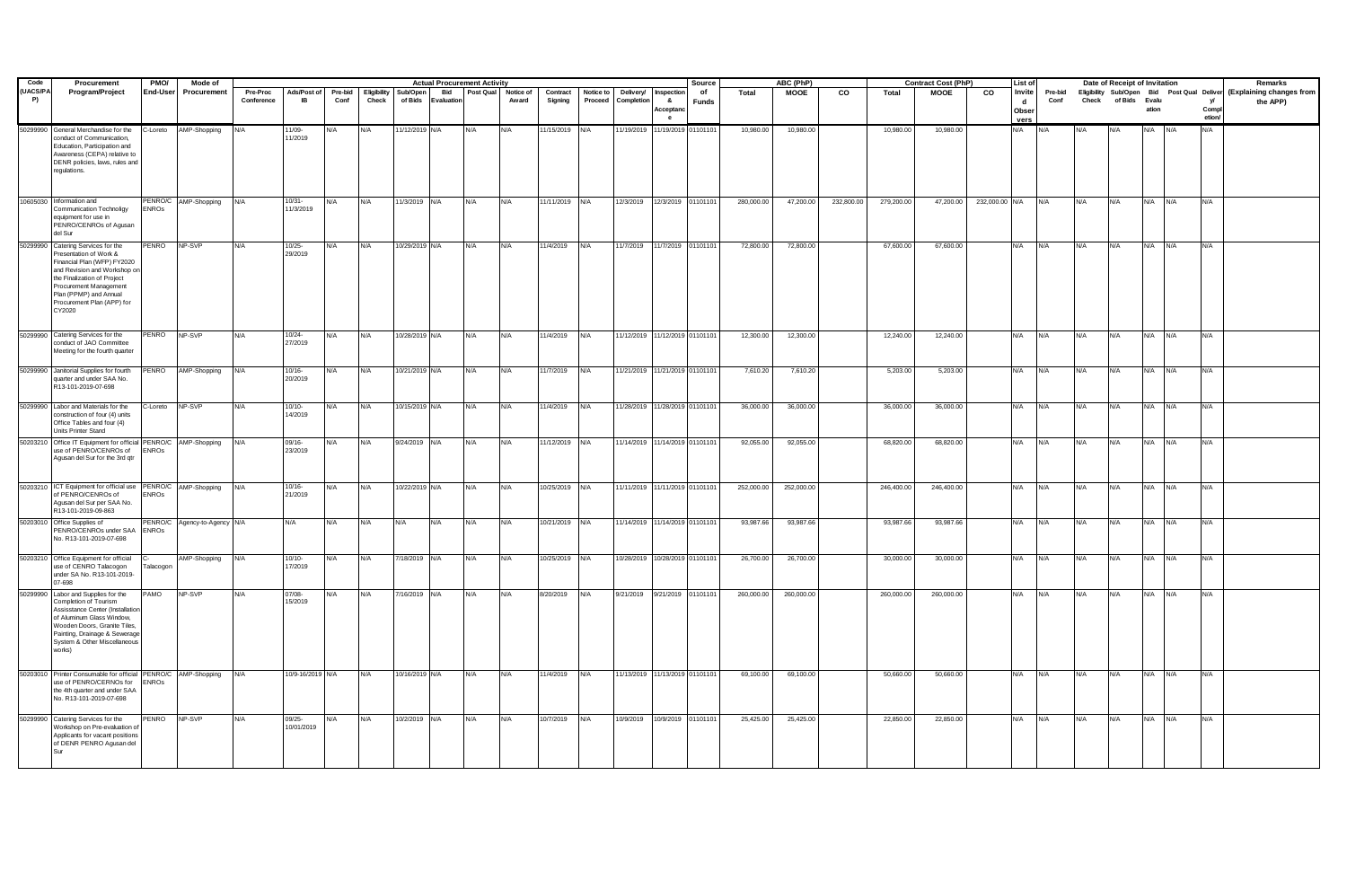| Code           | Procurement                                                                                                                                                                                                                                            | PMO/                  | Mode of                      |                        |                          |                 |                      |                     |                         | <b>Actual Procurement Activity</b> |                    |                     |                      |                                |                                  | Source      |              | ABC (PhP)   |            |            | <b>Contract Cost (PhP)</b> |                | List of                                 |                 |       | Date of Receipt of Invitation |             |            |                      | Remarks                                                                         |
|----------------|--------------------------------------------------------------------------------------------------------------------------------------------------------------------------------------------------------------------------------------------------------|-----------------------|------------------------------|------------------------|--------------------------|-----------------|----------------------|---------------------|-------------------------|------------------------------------|--------------------|---------------------|----------------------|--------------------------------|----------------------------------|-------------|--------------|-------------|------------|------------|----------------------------|----------------|-----------------------------------------|-----------------|-------|-------------------------------|-------------|------------|----------------------|---------------------------------------------------------------------------------|
| (UACS/PA<br>P) | Program/Project                                                                                                                                                                                                                                        | <b>End-User</b>       | Procurement                  | Pre-Proc<br>Conference | Ads/Post of<br><b>IB</b> | Pre-bid<br>Conf | Eligibility<br>Check | Sub/Open<br>of Bids | <b>Bid</b><br>Evaluatio | Post Qual                          | Notice of<br>Award | Contract<br>Signing | Notice to<br>Proceed | Delivery/<br>Completion        | Inspection<br>&<br>Acceptan<br>e | of<br>Funds | <b>Total</b> | <b>MOOE</b> | CO         | Total      | <b>MOOE</b>                | co             | Invite<br>$\mathbf{d}$<br>Obser<br>vers | Pre-bid<br>Conf | Check | of Bids Evalu                 | ation       |            | v<br>Compl<br>etion/ | Eligibility Sub/Open Bid Post Qual Deliver (Explaining changes from<br>the APP) |
| 50299990       | General Merchandise for the<br>conduct of Communication,<br>Education, Participation and<br>Awareness (CEPA) relative to<br>DENR policies, laws, rules and<br>regulations.                                                                             |                       | C-Loreto AMP-Shopping        | N/A                    | 11/09-<br>11/2019        | N/A             | N/A                  | 11/12/2019 N/A      |                         | N/A                                | N/A                | 11/15/2019          | N/A                  | 11/19/2019                     | 1/19/2019 0110110                |             | 10,980.00    | 10,980.00   |            | 10,980.00  | 10,980.00                  |                | N/A                                     |                 |       |                               |             |            | <b>VA</b>            |                                                                                 |
|                | 10605030 Information and<br>Communication Technoligy<br>equipment for use in<br>PENRO/CENROs of Agusan<br>del Sur                                                                                                                                      | <b>ENROS</b>          | PENRO/C AMP-Shopping         | N/A                    | 10/31-<br>11/3/2019      | N/A             | N/A                  | 11/3/2019 N/A       |                         | N/A                                | N/A                | 11/11/2019 N/A      |                      | 12/3/2019                      | 12/3/2019 01101101               |             | 280,000.00   | 47,200.00   | 232,800.00 | 279,200.00 | 47,200.00                  | 232,000.00 N/A |                                         | N/A             | N/A   | N/A                           | N/A N/A     |            | N/A                  |                                                                                 |
|                | 50299990 Catering Services for the<br>Presentation of Work &<br>Financial Plan (WFP) FY2020<br>and Revision and Workshop or<br>the Finalization of Project<br>Procurement Management<br>Plan (PPMP) and Annual<br>Procurement Plan (APP) for<br>CY2020 | PENRO                 | NP-SVP                       |                        | $10/25 -$<br>29/2019     | N/A             | N/A                  | 10/29/2019 N/A      |                         | <b>N/A</b>                         | N/A                | 11/4/2019           | N/A                  | 11/7/2019                      | 11/7/2019 01101101               |             | 72,800.00    | 72,800.00   |            | 67,600.00  | 67,600.00                  |                | N/A                                     | N/A             | N/A   | N/A                           | N/A N/A     |            | N/A                  |                                                                                 |
|                | 50299990 Catering Services for the<br>conduct of JAO Committee<br>Meeting for the fourth quarter                                                                                                                                                       | PENRO                 | NP-SVP                       | N/A                    | $10/24 -$<br>27/2019     | N/A             | N/A                  | 10/28/2019 N/A      |                         | N/A                                | N/A                | 11/4/2019           | N/A                  | 11/12/2019 11/12/2019 01101101 |                                  |             | 12,300.00    | 12,300.00   |            | 12,240.00  | 12,240.00                  |                | N/A                                     | N/A             | N/A   | N/A                           | N/A         | N/A        | N/A                  |                                                                                 |
|                | 50299990 Janitorial Supplies for fourth<br>uarter and under SAA No.<br>R13-101-2019-07-698                                                                                                                                                             | PENRO                 | AMP-Shopping                 | N/A                    | $10/16 -$<br>20/2019     | N/A             | N/A                  | 10/21/2019 N/A      |                         | N/A                                | N/A                | 1/7/2019            | N/A                  | 11/21/2019                     | 11/21/2019 01101101              |             | 7,610.20     | 7,610.20    |            | 5,203.00   | 5,203.00                   |                | N/A                                     | N/A             | N/A   | N/A                           | N/A         | N/A        | N/A                  |                                                                                 |
|                | 50299990 Labor and Materials for the<br>construction of four (4) units<br>Office Tables and four (4)<br>Units Printer Stand                                                                                                                            | C-Loreto              | NP-SVP                       |                        | $10/10 -$<br>14/2019     |                 | N/A                  | 10/15/2019 N/A      |                         | N/A                                |                    | 11/4/2019           | N/A                  | 1/28/2019                      | 11/28/2019 0110110               |             | 36,000.00    | 36,000.00   |            | 36,000.00  | 36,000.00                  |                | N/A                                     | N/A             |       |                               | N/A         | N/A        | <b>VA</b>            |                                                                                 |
|                | 50203210 Office IT Equipment for official PENRO/C AMP-Shopping<br>use of PENRO/CENROs of ENROs<br>Agusan del Sur for the 3rd gtr                                                                                                                       |                       |                              | N/A                    | $09/16 -$<br>23/2019     | N/A             | N/A                  | 9/24/2019 N/A       |                         | N/A                                | N/A                | 11/12/2019          | N/A                  | 11/14/2019 11/14/2019 01101101 |                                  |             | 92,055.00    | 92,055.00   |            | 68,820.00  | 68,820.00                  |                | N/A                                     | N/A             | N/A   | N/A                           | N/A         | N/A        | N/A                  |                                                                                 |
|                | 50203210 ICT Equipment for official use PENRO/C AMP-Shopping<br>f PENRO/CENROs of<br>Agusan del Sur per SAA No.<br>R13-101-2019-09-863                                                                                                                 | <b>ENROs</b>          |                              | N/A                    | 10/16-<br>21/2019        | N/A             | N/A                  | 10/22/2019 N/A      |                         | N/A                                | N/A                | 10/25/2019 N/A      |                      | 11/11/2019 11/11/2019 01101101 |                                  |             | 252,000.00   | 252,000.00  |            | 246,400.00 | 246,400.00                 |                | N/A                                     | N/A             | N/A   | N/A                           | N/A N/A     |            | N/A                  |                                                                                 |
|                | 50203010 Office Supplies of<br>PENRO/CENROs under SAA ENROs<br>No. R13-101-2019-07-698                                                                                                                                                                 |                       | PENRO/C Agency-to-Agency N/A |                        | N/A                      | N/A             | N/A                  | N/A                 | N/A                     | <b>N/A</b>                         | N/A                | 10/21/2019 N/A      |                      | 1/14/2019                      | 11/14/2019 01101101              |             | 93,987.66    | 93,987.66   |            | 93,987.66  | 93,987.66                  |                | N/A                                     | N/A             | N/A   | N/A                           | $N/A$ $N/A$ |            | N/A                  |                                                                                 |
|                | 50203210 Office Equipment for official<br>use of CENRO Talacogon<br>under SA No. R13-101-2019-<br>17-698                                                                                                                                               | alacogon <sup>*</sup> | AMP-Shopping                 | N/A                    | $10/10 -$<br>17/2019     | N/A             | N/A                  | 7/18/2019 N/A       |                         | N/A                                | N/A                | 10/25/2019 N/A      |                      | 10/28/2019 10/28/2019 01101101 |                                  |             | 26,700.00    | 26,700.00   |            | 30,000.00  | 30,000.00                  |                | N/A                                     | N/A             | N/A   | N/A                           | N/A N/A     |            | N/A                  |                                                                                 |
|                | 50299990 Labor and Supplies for the<br>Completion of Tourism<br>Assisstance Center (Installation<br>of Aluminum Glass Window,<br>Wooden Doors, Granite Tiles,<br>Painting, Drainage & Sewerage<br>System & Other Miscellaneous<br>works)               | PAMO                  | NP-SVP                       | N/A                    | 07/08-<br>15/2019        | N/A             | N/A                  | 7/16/2019 N/A       |                         | N/A                                | N/A                | 8/20/2019           | N/A                  | 9/21/2019                      | 9/21/2019 01101101               |             | 260,000.00   | 260,000.00  |            | 260,000.00 | 260,000.00                 |                | N/A                                     | N/A             | N/A   | N/A                           | N/A         | N/A        | N/A                  |                                                                                 |
|                | 50203010 Printer Consumable for official PENRO/C AMP-Shopping<br>use of PENRO/CERNOs for<br>the 4th quarter and under SAA<br>No. R13-101-2019-07-698                                                                                                   | <b>ENROS</b>          |                              | N/A                    | 10/9-16/2019 N/A         |                 | N/A                  | 10/16/2019 N/A      |                         | N/A                                | N/A                | 11/4/2019           | N/A                  |                                | 1/13/2019 11/13/2019 01101101    |             | 69,100.00    | 69,100.00   |            | 50,660.00  | 50,660.00                  |                | N/A                                     | N/A             | N/A   | N/A                           | N/A         | <b>N/A</b> | V/A                  |                                                                                 |
|                | 50299990 Catering Services for the<br>Workshop on Pre-evaluation of<br>Applicants for vacant positions<br>of DENR PENRO Agusan del                                                                                                                     | PENRO NP-SVP          |                              | N/A                    | 09/25-<br>10/01/2019     | N/A             | N/A                  | 10/2/2019 N/A       |                         | N/A                                | N/A                | 10/7/2019           | N/A                  | 10/9/2019                      | 10/9/2019 01101101               |             | 25,425.00    | 25,425.00   |            | 22,850.00  | 22,850.00                  |                | N/A                                     | N/A             | N/A   | N/A                           | N/A N/A     |            | N/A                  |                                                                                 |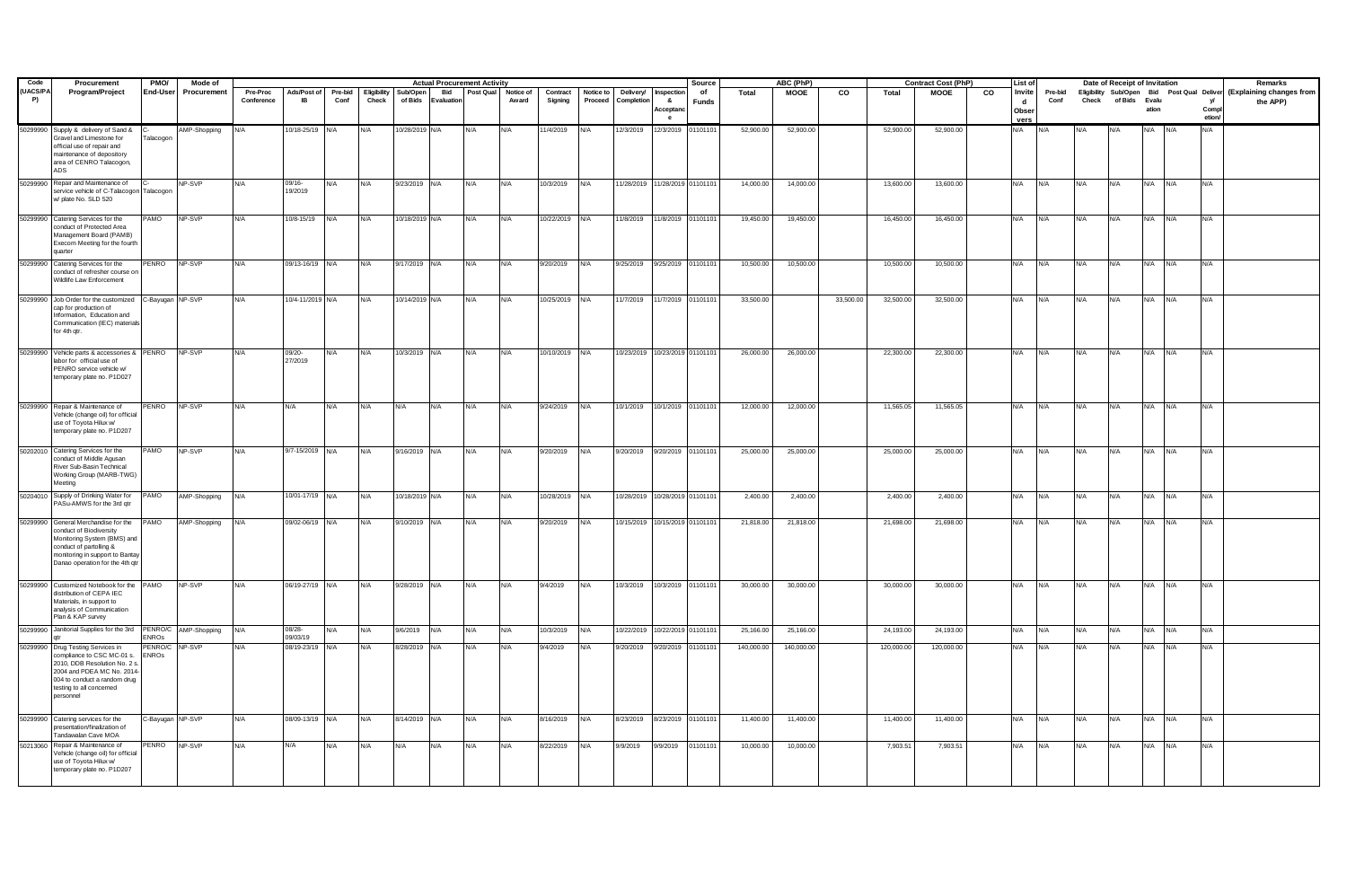| Code                  | Procurement                                                                                                                                                                                                   | PMO/            | Mode of      |                        |                          |                 |                      |                     |                  | <b>Actual Procurement Activity</b> |                    |                     |                      |                                |                                                    | Source             |              | ABC (PhP)   |           |            | <b>Contract Cost (PhP)</b> |    | <b>List of</b>                          |                 |            | Date of Receipt of Invitation |         |      |                             | Remarks                                                                         |
|-----------------------|---------------------------------------------------------------------------------------------------------------------------------------------------------------------------------------------------------------|-----------------|--------------|------------------------|--------------------------|-----------------|----------------------|---------------------|------------------|------------------------------------|--------------------|---------------------|----------------------|--------------------------------|----------------------------------------------------|--------------------|--------------|-------------|-----------|------------|----------------------------|----|-----------------------------------------|-----------------|------------|-------------------------------|---------|------|-----------------------------|---------------------------------------------------------------------------------|
| (UACS/PA<br><b>P)</b> | Program/Project                                                                                                                                                                                               | End-User        | Procurement  | Pre-Proc<br>Conference | Ads/Post of<br><b>IB</b> | Pre-bid<br>Conf | Eligibility<br>Check | Sub/Open<br>of Bids | Bid<br>Evaluatio | Post Qual                          | Notice of<br>Award | Contract<br>Signing | Notice to<br>Proceed | Delivery/<br>Completion        | Inspection<br>$\mathbf{a}$<br><b>Acceptar</b><br>e | of<br><b>Funds</b> | <b>Total</b> | <b>MOOE</b> | CO        | Total      | <b>MOOE</b>                | co | Invite<br>$\mathbf{d}$<br>Obser<br>vers | Pre-bid<br>Conf | Check      | of Bids Evalu                 | ation   |      | <b>v</b><br>Compl<br>etion/ | Eligibility Sub/Open Bid Post Qual Deliver (Explaining changes from<br>the APP) |
|                       | 50299990 Supply & delivery of Sand &<br>Gravel and Limestone for<br>official use of repair and<br>maintenance of depository<br>area of CENRO Talacogon,<br>ADS.                                               | Talacogon       | AMP-Shopping | N/A                    | 10/18-25/19 N/A          |                 | N/A                  | 10/28/2019 N/A      |                  | <b>N/A</b>                         | N/A                | 1/4/2019            | <b>VA</b>            | 12/3/2019                      | 12/3/2019                                          | 0110110            | 52,900.00    | 52,900.00   |           | 52,900.00  | 52,900.00                  |    | N/A                                     |                 |            |                               |         |      | <b>VA</b>                   |                                                                                 |
|                       | 50299990 Repair and Maintenance of<br>service vehicle of C-Talacogon Talacogon<br>w/ plate No. SLD 520                                                                                                        |                 | NP-SVP       | N/A                    | 09/16-<br>19/2019        | N/A             | N/A                  | 9/23/2019 N/A       |                  | N/A                                | N/A                | 10/3/2019           | N/A                  |                                | 11/28/2019 11/28/2019 01101101                     |                    | 14,000.00    | 14,000.00   |           | 13,600.00  | 13,600.00                  |    | N/A                                     | N/A             | N/A        | N/A                           | N/A N/A |      | N/A                         |                                                                                 |
|                       | 50299990 Catering Services for the<br>conduct of Protected Area<br>Management Board (PAMB)<br>Execom Meeting for the fourth<br><b>Juarter</b>                                                                 | <b>OMA</b>      | NP-SVP       | N/A                    | 10/8-15/19               | N/A             | N/A                  | 10/18/2019 N/A      |                  | N/A                                | N/A                | 10/22/2019          | N/A                  | 11/8/2019                      | 11/8/2019 01101101                                 |                    | 19,450.00    | 19,450.00   |           | 16,450.00  | 16,450.00                  |    | N/A                                     | N/A             | N/A        | N/A                           | N/A     | N/A  | N/A                         |                                                                                 |
|                       | 50299990 Catering Services for the<br>conduct of refresher course on<br>Wildlife Law Enforcement                                                                                                              | PENRO           | NP-SVP       | N/A                    | 09/13-16/19 N/A          |                 | N/A                  | 9/17/2019 N/A       |                  | N/A                                |                    | 9/20/2019           | N/A                  | 9/25/2019                      | 9/25/2019 01101101                                 |                    | 10,500.00    | 10,500.00   |           | 10,500.00  | 10,500.00                  |    | N/A                                     | N/A             |            |                               | N/A     | N/A  | N/A                         |                                                                                 |
|                       | 50299990 Job Order for the customized C-Bayugan NP-SVP<br>cap for production of<br>Information, Education and<br>Communication (IEC) materials<br>for 4th gtr.                                                |                 |              | N/A                    | 10/4-11/2019 N/A         |                 | N/A                  | 10/14/2019 N/A      |                  | N/A                                | N/A                | 10/25/2019          | N/A                  | 11/7/2019                      | 11/7/2019                                          | 01101101           | 33,500.00    |             | 33,500.00 | 32,500.00  | 32,500.00                  |    | N/A                                     | N/A             | N/A        | N/A                           | N/A     | N/A  | N/A                         |                                                                                 |
|                       | 50299990 Vehicle parts & accessories & PENRO NP-SVP<br>abor for official use of<br>PENRO service vehicle w/<br>emporary plate no. P1D027                                                                      |                 |              | N/A                    | 09/20-<br>27/2019        | N/A             | N/A                  | 10/3/2019 N/A       |                  | N/A                                | N/A                | 10/10/2019 N/A      |                      | 10/23/2019 10/23/2019 01101101 |                                                    |                    | 26,000.00    | 26,000.00   |           | 22,300.00  | 22,300.00                  |    | N/A                                     | N/A             | N/A        | N/A                           | N/A N/A |      | N/A                         |                                                                                 |
|                       | 50299990 Repair & Maintenance of<br>'ehicle (change oil) for official<br>use of Toyota Hilux w/<br>temporary plate no. P1D207                                                                                 | PENRO           | NP-SVP       | N/A                    | N/A                      | N/A             | N/A                  | N/A                 | N/A              | N/A                                | N/A                | 9/24/2019           | N/A                  | 10/1/2019                      | 10/1/2019 01101101                                 |                    | 12,000.00    | 12,000.00   |           | 11,565.05  | 11,565.05                  |    | N/A                                     | N/A             | N/A        | N/A                           | N/A     | IN/A | N/A                         |                                                                                 |
|                       | 50202010 Catering Services for the<br>conduct of Middle Agusan<br>River Sub-Basin Technical<br>Working Group (MARB-TWG)<br>Meeting                                                                            | PAMO            | NP-SVP       | N/A                    | 9/7-15/2019 N/A          |                 | N/A                  | 9/16/2019 N/A       |                  | N/A                                | N/A                | 9/20/2019           | N/A                  | 9/20/2019                      | 9/20/2019                                          | 01101101           | 25,000.00    | 25,000.00   |           | 25,000.00  | 25,000.00                  |    | N/A                                     | N/A             | N/A        | N/A                           | N/A     | N/A  | N/A                         |                                                                                 |
|                       | 50204010 Supply of Drinking Water for<br>PASu-AMWS for the 3rd qtr                                                                                                                                            | <b>PAMO</b>     | AMP-Shopping | N/A                    | 10/01-17/19 N/A          |                 | N/A                  | 10/18/2019 N/A      |                  | N/A                                | N/A                | 10/28/2019          | N/A                  | 10/28/2019                     | 10/28/2019 01101101                                |                    | 2,400.00     | 2,400.00    |           | 2,400.00   | 2,400.00                   |    | N/A                                     | N/A             | N/A        | N/A                           | N/A     | N/A  | N/A                         |                                                                                 |
|                       | 50299990 General Merchandise for the<br>conduct of Biodiversity<br>Monitoring System (BMS) and<br>conduct of partolling &<br>monitoring in support to Bantay<br>Danao operation for the 4th qtr               | PAMO            | AMP-Shopping | N/A                    | 09/02-06/19 N/A          |                 | N/A                  | 9/10/2019 N/A       |                  | N/A                                | N/A                | 9/20/2019           | N/A                  | 10/15/2019                     | 10/15/2019 01101101                                |                    | 21,818.00    | 21,818.00   |           | 21,698.00  | 21,698.00                  |    | N/A                                     | N/A             | <b>N/A</b> | N/A                           | N/A     | N/A  | N/A                         |                                                                                 |
|                       | 50299990 Customized Notebook for the PAMO<br>distribution of CEPA IEC<br>Materials, in support to<br>analysis of Communication<br>Plan & KAP survey                                                           |                 | NP-SVP       | N/A                    | 06/19-27/19 N/A          |                 | N/A                  | 9/28/2019 N/A       |                  | N/A                                | N/A                | 9/4/2019            | N/A                  | 10/3/2019                      | 10/3/2019 01101101                                 |                    | 30,000.00    | 30,000.00   |           | 30,000.00  | 30,000.00                  |    | N/A                                     | N/A             | N/A        | N/A                           | N/A N/A |      | N/A                         |                                                                                 |
|                       | 50299990 Janitorial Supplies for the 3rd PENRO/C AMP-Shopping                                                                                                                                                 | <b>ENROs</b>    |              | N/A                    | 08/28-<br>09/03/19       | N/A             | N/A                  | 9/6/2019 N/A        |                  | N/A                                | N/A                | 10/3/2019           | N/A                  | 10/22/2019                     | 10/22/2019 01101101                                |                    | 25,166.00    | 25,166.00   |           | 24,193.00  | 24,193.00                  |    | N/A                                     | N/A             | N/A        | N/A                           | N/A N/A |      | N/A                         |                                                                                 |
|                       | 50299990 Drug Testing Services in<br>compliance to CSC MC-01 s. ENROs<br>2010, DDB Resolution No. 2 s.<br>2004 and PDEA MC No. 2014-<br>004 to conduct a random drug<br>testing to all concerned<br>personnel | PENRO/C NP-SVP  |              | N/A                    | 08/19-23/19 N/A          |                 | N/A                  | 8/28/2019           | N/A              | N/A                                | N/A                | 9/4/2019            | N/A                  | 9/20/2019                      | 1/20/2019                                          | 0110110            | 140,000.00   | 140,000.00  |           | 120,000.00 | 120,000.00                 |    | N/A                                     | N/A             | N/A        | N/A                           | N/A N/A |      | N/A                         |                                                                                 |
|                       | 50299990 Catering services for the<br>resentation/finalization of<br>Tandawalan Cave MOA                                                                                                                      | -Bayugan NP-SVP |              | N/A                    | 08/09-13/19 N/A          |                 | N/A                  | 8/14/2019 N/A       |                  | N/A                                | N/A                | 8/16/2019           | N/A                  | 8/23/2019                      | 8/23/2019 01101101                                 |                    | 11,400.00    | 11,400.00   |           | 11,400.00  | 11,400.00                  |    | N/A                                     | N/A             | N/A        | N/A                           | N/A N/A |      | N/A                         |                                                                                 |
|                       | 50213060 Repair & Maintenance of<br>/ehicle (change oil) for official<br>use of Tovota Hilux w/<br>temporary plate no. P1D207                                                                                 | PENRO           | NP-SVP       | N/A                    | N/A                      | N/A             | N/A                  | N/A                 | N/A              | N/A                                | N/A                | 8/22/2019           | N/A                  | 9/9/2019                       | 9/9/2019                                           | 01101101           | 10,000.00    | 10,000.00   |           | 7,903.51   | 7,903.51                   |    | N/A                                     | N/A             | N/A        | N/A                           | N/A N/A |      | N/A                         |                                                                                 |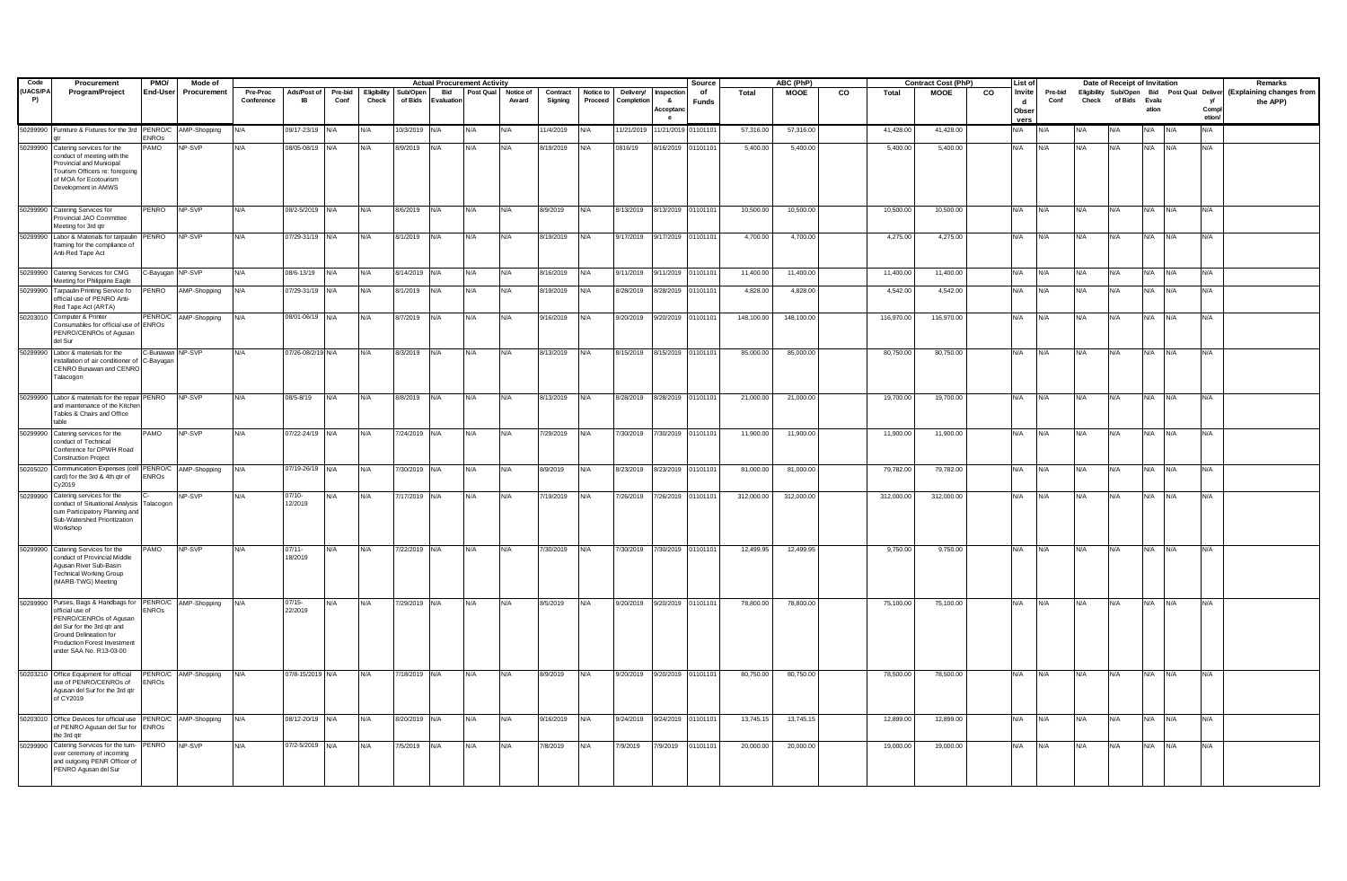| Code           | Procurement                                                                                                                                                                                                                | PMO/             | Mode of              |                        |                          |                 |                      |                     |            | <b>Actual Procurement Activity</b> |                                         |                     |                      |                              |                                    | Source      |            | ABC (PhP)   |    |            | <b>Contract Cost (PhP)</b> |    | <b>List of</b>               |                 |            | Date of Receipt of Invitation |         |            |                      | Remarks                                                                         |
|----------------|----------------------------------------------------------------------------------------------------------------------------------------------------------------------------------------------------------------------------|------------------|----------------------|------------------------|--------------------------|-----------------|----------------------|---------------------|------------|------------------------------------|-----------------------------------------|---------------------|----------------------|------------------------------|------------------------------------|-------------|------------|-------------|----|------------|----------------------------|----|------------------------------|-----------------|------------|-------------------------------|---------|------------|----------------------|---------------------------------------------------------------------------------|
| (UACS/PA<br>P) | Program/Project                                                                                                                                                                                                            | <b>End-User</b>  | Procurement          | Pre-Proc<br>Conference | Ads/Post of<br><b>IB</b> | Pre-bid<br>Conf | Eligibility<br>Check | Sub/Open<br>of Bids | Evaluation |                                    | <b>Bid</b> Post Qual Notice of<br>Award | Contract<br>Signing | Notice to<br>Proceed | Delivery/<br>Completion      | Inspection<br>- &<br>Acceptan<br>e | of<br>Funds | Total      | <b>MOOE</b> | co | Total      | <b>MOOE</b>                | CO | Invite<br>d<br>Obser<br>vers | Pre-bid<br>Conf |            | Check of Bids Evalu           | ation   |            | v<br>Compl<br>etion/ | Eligibility Sub/Open Bid Post Qual Deliver (Explaining changes from<br>the APP) |
|                | 50299990 Furniture & Fixtures for the 3rd PENRO/C AMP-Shopping                                                                                                                                                             | <b>ENROS</b>     |                      | N/A                    | 09/17-23/19 N/A          |                 | N/A                  | 10/3/2019 N/A       |            | <b>N/A</b>                         | N/A                                     | 11/4/2019           | N/A                  | 11/21/2019                   | 1/21/2019                          | 01101101    | 57,316.00  | 57,316.00   |    | 41,428.00  | 41,428.00                  |    | N/A                          | <b>VA</b>       | N/A        |                               | N/A     | ٧A         | N/A                  |                                                                                 |
|                | 50299990 Catering services for the<br>conduct of meeting with the<br>Provincial and Municipal<br>Tourism Officers re: foregoing<br>f MOA for Ecotourism<br>Development in AMWS                                             | <b>OMA</b>       | NP-SVP               | N/A                    | 08/05-08/19              | N/A             | N/A                  | 8/9/2019            | N/A        | N/A                                | N/A                                     | 8/19/2019           | N/A                  | 0816/19                      | /16/2019                           | 1101101     | 5,400.00   | 5,400.00    |    | 5,400.00   | 5,400.00                   |    | N/A                          | N/A             | N/A        | N/A                           | N/A     | ٧A.        | N/A                  |                                                                                 |
|                | 50299990 Catering Services for<br>Provincial JAO Committee<br>Meeting for 3rd qtr                                                                                                                                          | <b>PENRO</b>     | NP-SVP               | N/A                    | 08/2-5/2019 N/A          |                 | N/A                  | 8/6/2019 N/A        |            | N/A                                | N/A                                     | 8/9/2019            | N/A                  | 8/13/2019                    | 8/13/2019 01101101                 |             | 10,500.00  | 10,500.00   |    | 10,500.00  | 10,500.00                  |    | N/A                          | N/A             | N/A        | N/A                           | N/A N/A |            | N/A                  |                                                                                 |
|                | 50299990 Labor & Materials for tarpaulin PENRO<br>aming for the compliance of<br>Anti-Red Tape Act                                                                                                                         |                  | NP-SVP               | N/A                    | 7/29-31/19 N/A           |                 | N/A                  | 8/1/2019 N/A        |            | N/A                                | N/A                                     | 8/19/2019           | N/A                  | 9/17/2019                    | 9/17/2019                          | 01101101    | 4,700.00   | 4,700.00    |    | 4,275.00   | 4,275.00                   |    | N/A                          | N/A             | N/A        | N/A                           | N/A     | N/A        | N/A                  |                                                                                 |
|                | 50299990 Catering Services for CMG<br>Meeting for Philippine Eagle                                                                                                                                                         | C-Bayugan NP-SVP |                      | N/A                    | 08/6-13/19 N/A           |                 | N/A                  | 8/14/2019 N/A       |            | N/A                                | N/A                                     | 8/16/2019           | N/A                  | 9/11/2019                    | 9/11/2019                          | 01101101    | 11,400.00  | 11,400.00   |    | 11,400.00  | 11,400.00                  |    | N/A                          | N/A             | N/A        | N/A                           | N/A     | N/A        | N/A                  |                                                                                 |
|                | 50299990 Tarpaulin Printing Service fo<br>official use of PENRO Anti-<br>Red Tape Act (ARTA)                                                                                                                               | <b>PENRO</b>     | AMP-Shopping         | N/A                    | 07/29-31/19 N/A          |                 | N/A                  | 8/1/2019            | N/A        | N/A                                | N/A                                     | 8/19/2019           | N/A                  | 8/28/2019                    | /28/2019                           | 01101101    | 4,828.00   | 4,828.00    |    | 4,542.00   | 4,542.00                   |    | N/A                          | N/A             | N/A        | N/A                           | N/A     | N/A        | N/A                  |                                                                                 |
|                | 50203010 Computer & Printer<br>Consumables for official use of ENROs<br>PENRO/CENROs of Agusan<br>del Sur                                                                                                                  |                  | PENRO/C AMP-Shopping | N/A                    | 08/01-06/19 N/A          |                 | N/A                  | 8/7/2019 N/A        |            | N/A                                | N/A                                     | 9/16/2019           | N/A                  | 9/20/2019                    | 9/20/2019                          | 01101101    | 148,100.00 | 148,100.00  |    | 116,970.00 | 116,970.00                 |    | N/A                          | N/A             | N/A        | N/A                           | N/A N/A |            | N/A                  |                                                                                 |
|                | 50299990 Labor & materials for the<br>nstallation of air conditioner of C-Bayugan<br>CENRO Bunawan and CENRC<br>Talacogon                                                                                                  | C-Bunawan NP-SVP |                      | N/A                    | 07/26-08/2/19 N/A        |                 | N/A                  | 8/3/2019 N/A        |            | N/A                                | N/A                                     | 8/13/2019 N/A       |                      | 8/15/2019 8/15/2019 01101101 |                                    |             | 85,000.00  | 85,000.00   |    | 80,750.00  | 80,750.00                  |    | N/A N/A                      |                 | N/A        | N/A                           | N/A N/A |            | N/A                  |                                                                                 |
|                | 50299990 Labor & materials for the repair PENRO<br>and maintenance of the Kitche<br>Tables & Chairs and Office<br>able                                                                                                     |                  | NP-SVP               | N/A                    | 08/5-8/19                | N/A             | N/A                  | 8/8/2019 N/A        |            | N/A                                | N/A                                     | 8/13/2019           | N/A                  | 8/28/2019                    | 8/28/2019 01101101                 |             | 21,000.00  | 21,000.00   |    | 19,700.00  | 19,700.00                  |    | N/A                          | N/A             | N/A        | N/A                           | N/A     | <b>N/A</b> | N/A                  |                                                                                 |
|                | 50299990 Catering services for the<br>conduct of Technical<br>Conference for DPWH Road<br><b>Construction Project</b>                                                                                                      | PAMO             | NP-SVP               | N/A                    | 07/22-24/19 N/A          |                 | N/A                  | 7/24/2019 N/A       |            | N/A                                | N/A                                     | 7/29/2019           | N/A                  | 7/30/2019                    | 7/30/2019 01101101                 |             | 11,900.00  | 11,900.00   |    | 11,900.00  | 11,900.00                  |    | N/A                          | N/A             | N/A        | N/A                           | N/A     | N/A        | N/A                  |                                                                                 |
|                | 50205020 Communication Expenses (cell PENRO/C AMP-Shopping<br>card) for the 3rd & 4th qtr of<br>Cv2019                                                                                                                     | <b>ENROs</b>     |                      | N/A                    | 07/19-26/19 N/A          |                 | N/A                  | 7/30/2019 N/A       |            | N/A                                | N/A                                     | 8/9/2019            | N/A                  | 8/23/2019                    | 8/23/2019 01101101                 |             | 81,000.00  | 81,000.00   |    | 79,782.00  | 79,782.00                  |    | N/A                          | N/A             | N/A        | N/A                           | N/A N/A |            | N/A                  |                                                                                 |
|                | 50299990 Catering services for the<br>conduct of Situational Analysis<br>cum Participatory Planning and<br>Sub-Watershed Prioritization<br>Workshop                                                                        | Talacogon        | NP-SVP               | N/A                    | 07/10-<br>12/2019        | N/A             | N/A                  | 7/17/2019 N/A       |            | N/A                                | N/A                                     | 7/19/2019 N/A       |                      | 7/26/2019                    | 7/26/2019 01101101                 |             | 312,000.00 | 312,000.00  |    | 312,000.00 | 312,000.00                 |    | N/A                          | N/A             | N/A        | N/A                           | N/A     | N/A        | N/A                  |                                                                                 |
|                | 50299990 Catering Services for the<br>onduct of Provincial Middle<br>Agusan River Sub-Basin<br>Technical Working Group<br>(MARB-TWG) Meeting                                                                               | <b>OMA</b>       | NP-SVP               | N/A                    | 07/11-<br>18/2019        | N/A             | N/A                  | 7/22/2019 N/A       |            | N/A                                | N/A                                     | 7/30/2019           | N/A                  | 7/30/2019                    | 7/30/2019 01101101                 |             | 12,499.95  | 12,499.95   |    | 9,750.00   | 9,750.00                   |    | N/A                          | N/A             | N/A        | N/A                           | N/A     | N/A        | N/A                  |                                                                                 |
|                | 50299990 Purses, Bags & Handbags for PENRO/C AMP-Shopping<br>official use of<br>PENRO/CENROs of Agusan<br>del Sur for the 3rd qtr and<br>Ground Delineation for<br>Production Forest Investment<br>under SAA No. R13-03-00 | <b>ENROS</b>     |                      | N/A                    | $07/15 -$<br>22/2019     | N/A             | N/A                  | 7/29/2019 N/A       |            | <b>N/A</b>                         | N/A                                     | 8/5/2019            | N/A                  | 9/20/2019                    | 9/20/2019 01101101                 |             | 78,800.00  | 78,800.00   |    | 75,100.00  | 75,100.00                  |    | N/A                          | N/A             | <b>N/A</b> | N/A                           | N/A N/A |            | N/A                  |                                                                                 |
|                | 50203210 Office Equipment for official<br>use of PENRO/CENROs of<br>Agusan del Sur for the 3rd qtr<br>of CY2019                                                                                                            | <b>ENROS</b>     | PENRO/C AMP-Shopping | N/A                    | 07/8-15/2019 N/A         |                 | N/A                  | 7/18/2019 N/A       |            | N/A                                | N/A                                     | 8/9/2019            | N/A                  | 9/20/2019 9/20/2019 01101101 |                                    |             | 80,750.00  | 80,750.00   |    | 78,500.00  | 78,500.00                  |    | N/A                          | N/A             | <b>N/A</b> | N/A                           | N/A     | N/A        | N/A                  |                                                                                 |
|                | 50203010 Office Devices for official use<br>of PENRO Agusan del Sur for<br>the 3rd qtr                                                                                                                                     | <b>ENROS</b>     | PENRO/C AMP-Shopping | N/A                    | 08/12-20/19 N/A          |                 | N/A                  | 8/20/2019 N/A       |            | N/A                                | N/A                                     | 9/16/2019           | N/A                  | 9/24/2019                    | 9/24/2019                          | 01101101    | 13,745.15  | 13,745.15   |    | 12,899.00  | 12,899.00                  |    | N/A                          | N/A             | N/A        | N/A                           | N/A N/A |            | N/A                  |                                                                                 |
|                | 50299990 Catering Services for the turn-<br>over ceremony of incoming<br>and outgoing PENR Officer of<br>PENRO Agusan del Sur                                                                                              | PENRO            | NP-SVP               | N/A                    | 07/2-5/2019 N/A          |                 | N/A                  | 7/5/2019 N/A        |            | N/A                                |                                         | 7/8/2019            | N/A                  | 7/9/2019                     | 7/9/2019                           | 01101101    | 20,000.00  | 20,000.00   |    | 19,000.00  | 19,000.00                  |    | N/A                          | N/A             | N/A        | N/A                           | N/A     | N/A        | N/A                  |                                                                                 |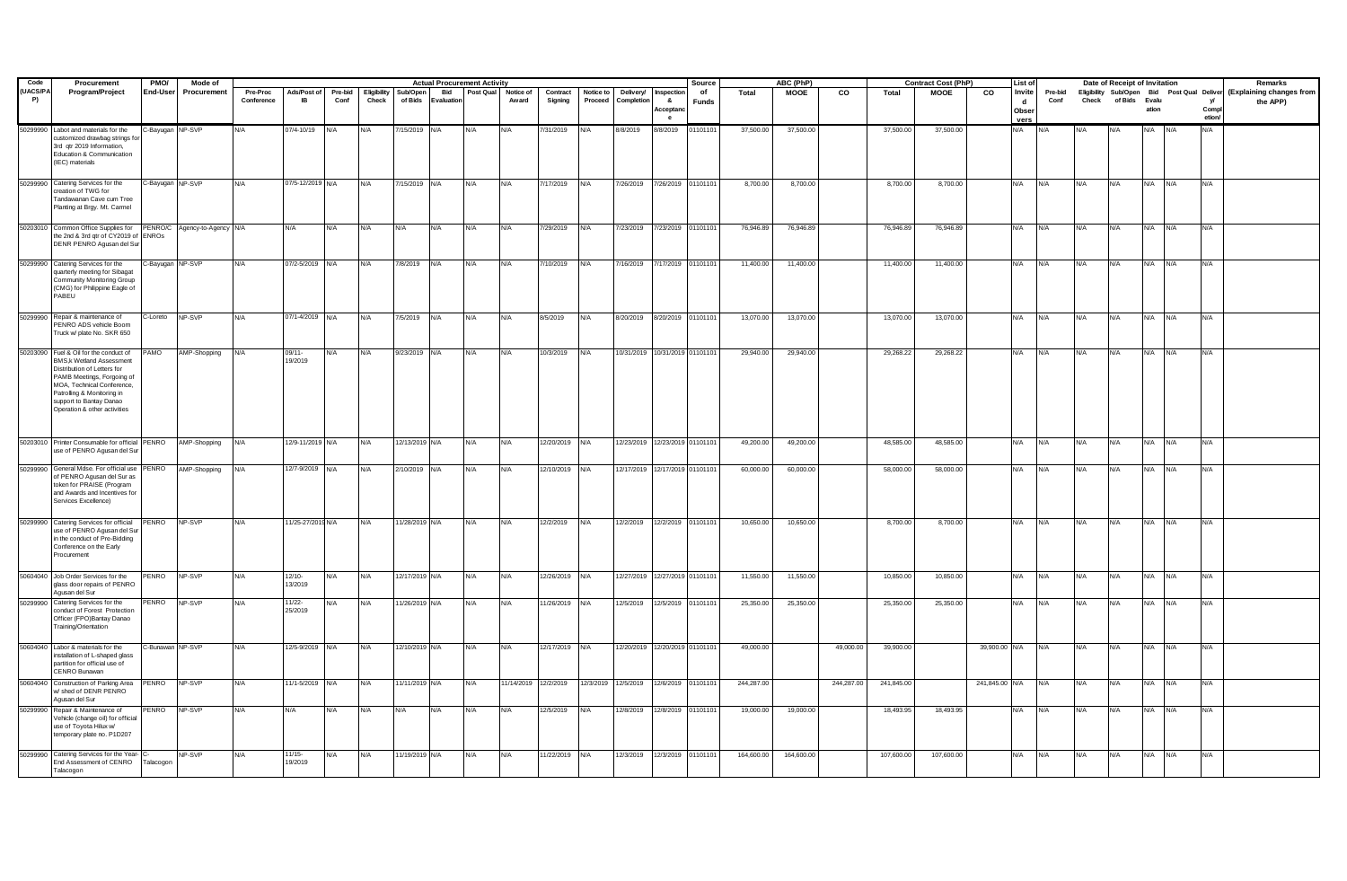| Code                  | Procurement                                                                                                                                                                                                                                           | PMO/             | Mode of      |                        |                          |                 |                      |                     |                  | <b>Actual Procurement Activity</b> |                      |                     |                      |                                |                                             | Source      |              | ABC (PhP)  |            |              | <b>Contract Cost (PhP)</b> |                | <b>List of</b>               |                 |       | Date of Receipt of Invitation |         |            |                             | Remarks                                                                         |
|-----------------------|-------------------------------------------------------------------------------------------------------------------------------------------------------------------------------------------------------------------------------------------------------|------------------|--------------|------------------------|--------------------------|-----------------|----------------------|---------------------|------------------|------------------------------------|----------------------|---------------------|----------------------|--------------------------------|---------------------------------------------|-------------|--------------|------------|------------|--------------|----------------------------|----------------|------------------------------|-----------------|-------|-------------------------------|---------|------------|-----------------------------|---------------------------------------------------------------------------------|
| (UACS/PA<br><b>P)</b> | Program/Project                                                                                                                                                                                                                                       | End-User         | Procurement  | Pre-Proc<br>Conference | Ads/Post of<br><b>IB</b> | Pre-bid<br>Conf | Eligibility<br>Check | Sub/Open<br>of Bids | Bid<br>Evaluatio | Post Qual                          | Notice of<br>Award   | Contract<br>Signing | Notice to<br>Proceed | Delivery/<br>Completion        | Inspection<br>&<br>Acceptar<br>$\mathbf{e}$ | of<br>Funds | <b>Total</b> | MOOE       | CO         | <b>Total</b> | <b>MOOE</b>                | co             | Invite<br>d<br>Obser<br>vers | Pre-bid<br>Conf | Check | of Bids Evalu                 | ation   |            | <b>v</b><br>Compl<br>etion/ | Eligibility Sub/Open Bid Post Qual Deliver (Explaining changes from<br>the APP) |
|                       | 50299990 Labot and materials for the<br>customized drawbag strings fo<br>3rd atr 2019 Information.<br>Education & Communication<br>(IEC) materials                                                                                                    | C-Bayugan NP-SVP |              | N/A                    | 07/4-10/19               | N/A             | N/A                  | 7/15/2019 N/A       |                  | N/A                                | N/A                  | 7/31/2019           | N/A                  | 8/8/2019                       | 8/8/2019                                    | 110110      | 37,500.00    | 37,500.00  |            | 37,500.00    | 37,500.00                  |                | N/A                          |                 |       |                               |         |            | <b>VA</b>                   |                                                                                 |
|                       | 50299990 Catering Services for the<br>reation of TWG for<br>Tandawanan Cave cum Tree<br>Planting at Brgy. Mt. Carmel                                                                                                                                  | C-Bayugan NP-SVP |              | N/A                    | 07/5-12/2019 N/A         |                 | N/A                  | 7/15/2019 N/A       |                  | N/A                                | N/A                  | 7/17/2019           | N/A                  | 7/26/2019                      | 7/26/2019 01101101                          |             | 8,700.00     | 8,700.00   |            | 8,700.00     | 8,700.00                   |                | N/A                          | N/A             | N/A   | N/A                           | N/A N/A |            | N/A                         |                                                                                 |
|                       | 50203010 Common Office Supplies for PENRO/C Agency-to-Agency N/A<br>the 2nd & 3rd qtr of CY2019 of ENROs<br>DENR PENRO Agusan del Sur                                                                                                                 |                  |              |                        | N/A                      | N/A             | N/A                  | N/A                 | N/A              | <b>N/A</b>                         | N/A                  | 7/29/2019           | N/A                  | 7/23/2019 7/23/2019 01101101   |                                             |             | 76,946.89    | 76,946.89  |            | 76,946.89    | 76,946.89                  |                | N/A                          | N/A             | N/A   | N/A                           | N/A N/A |            | N/A                         |                                                                                 |
|                       | 50299990 Catering Services for the<br>uarterly meeting for Sibagat<br>Community Monitoring Group<br>(CMG) for Philippine Eagle of<br>PABEU                                                                                                            | C-Bayugan NP-SVP |              | N/A                    | 07/2-5/2019 N/A          |                 | N/A                  | 7/8/2019 N/A        |                  | N/A                                | N/A                  | 7/10/2019           | N/A                  | 7/16/2019                      | 7/17/2019 01101101                          |             | 11,400.00    | 11,400.00  |            | 11,400.00    | 11,400.00                  |                | N/A                          | N/A             | N/A   | N/A                           | N/A     | N/A        | N/A                         |                                                                                 |
|                       | 50299990 Repair & maintenance of<br>PENRO ADS vehicle Boom<br>Truck w/ plate No. SKR 650                                                                                                                                                              | C-Loreto NP-SVP  |              | N/A                    | 07/1-4/2019 N/A          |                 | N/A                  | 7/5/2019 N/A        |                  | N/A                                | N/A                  | 8/5/2019            | N/A                  | 8/20/2019                      | 8/20/2019 01101101                          |             | 13,070.00    | 13,070.00  |            | 13,070.00    | 13,070.00                  |                | N/A                          | N/A             | N/A   | N/A                           | N/A N/A |            | N/A                         |                                                                                 |
|                       | 50203090 Fuel & Oil for the conduct of<br>MS,k Wetland Assessment<br>Distribution of Letters for<br>PAMB Meetings, Forgoing of<br>MOA, Technical Conference,<br>Patrolling & Monitoring in<br>support to Bantay Danao<br>Operation & other activities | <b>OMA</b>       | AMP-Shopping | N/A                    | 09/11-<br>19/2019        | N/A             | N/A                  | 9/23/2019 N/A       |                  | N/A                                | N/A                  | 10/3/2019           | N/A                  | 10/31/2019                     | 10/31/2019 01101101                         |             | 29,940.00    | 29,940.00  |            | 29,268.22    | 29,268.22                  |                | N/A                          | N/A             | N/A   | N/A                           | N/A N/A |            | N/A                         |                                                                                 |
|                       | 50203010 Printer Consumable for official<br>use of PENRO Agusan del Sur                                                                                                                                                                               | PENRO            | AMP-Shopping | N/A                    | 12/9-11/2019 N/A         |                 | N/A                  | 12/13/2019 N/A      |                  | N/A                                | N/A                  | 12/20/2019 N/A      |                      | 12/23/2019 12/23/2019 01101101 |                                             |             | 49,200.00    | 49,200.00  |            | 48,585.00    | 48,585.00                  |                | N/A                          | N/A             | N/A   | N/A                           | N/A     | N/A        | N/A                         |                                                                                 |
|                       | 50299990 General Mdse. For official use PENRO<br>f PENRO Agusan del Sur as<br>token for PRAISE (Program<br>and Awards and Incentives for<br>Services Excellence)                                                                                      |                  | AMP-Shopping | N/A                    | 12/7-9/2019 N/A          |                 | N/A                  | 2/10/2019 N/A       |                  | N/A                                | N/A                  | 12/10/2019          | N/A                  | 12/17/2019                     | 12/17/2019 01101101                         |             | 60,000.00    | 60,000.00  |            | 58,000.00    | 58,000.00                  |                | N/A                          | N/A             | N/A   | N/A                           | N/A     | N/A        | N/A                         |                                                                                 |
|                       | 50299990 Catering Services for official<br>use of PENRO Agusan del Sur<br>n the conduct of Pre-Bidding<br>Conference on the Early<br>Procurement                                                                                                      | PENRO NP-SVP     |              | N/A                    | 11/25-27/2019 N/A        |                 | N/A                  | 11/28/2019 N/A      |                  | <b>N/A</b>                         | N/A                  | 12/2/2019           | N/A                  | 12/2/2019                      | 12/2/2019 01101101                          |             | 10,650.00    | 10,650.00  |            | 8,700.00     | 8,700.00                   |                | N/A                          | N/A             | N/A   | N/A                           | N/A     | <b>N/A</b> | N/A                         |                                                                                 |
|                       | 50604040 Job Order Services for the<br>glass door repairs of PENRO<br>Agusan del Sur                                                                                                                                                                  | PENRO            | NP-SVP       | N/A                    | 12/10-<br>13/2019        | N/A             | N/A                  | 12/17/2019 N/A      |                  | <b>N/A</b>                         | N/A                  | 12/26/2019 N/A      |                      |                                | 12/27/2019 12/27/2019 01101101              |             | 11,550.00    | 11,550.00  |            | 10,850.00    | 10,850.00                  |                | N/A                          | N/A             | N/A   | N/A                           | N/A N/A |            | N/A                         |                                                                                 |
|                       | 50299990 Catering Services for the<br>conduct of Forest Protection<br>Officer (FPO)Bantay Danao<br>Fraining/Orientation                                                                                                                               | PENRO            | NP-SVP       | N/A                    | 11/22-<br>25/2019        | N/A             | N/A                  | 11/26/2019 N/A      |                  | N/A                                | N/A                  | 11/26/2019 N/A      |                      | 12/5/2019                      | 12/5/2019 0110110                           |             | 25,350.00    | 25,350.00  |            | 25,350.00    | 25,350.00                  |                | N/A                          | N/A             | N/A   | N/A                           | N/A N/A |            | N/A                         |                                                                                 |
|                       | 50604040 Labor & materials for the<br>nstallation of L-shaped glass<br>partition for official use of<br>CENRO Bunawan                                                                                                                                 | C-Bunawan NP-SVP |              | N/A                    | 12/5-9/2019 N/A          |                 | N/A                  | 12/10/2019 N/A      |                  | N/A                                | N/A                  | 12/17/2019 N/A      |                      | 12/20/2019                     | 12/20/2019 01101101                         |             | 49,000.00    |            | 49,000.00  | 39,900.00    |                            | 39,900.00 N/A  |                              | N/A             | N/A   | N/A                           | N/A     | N/A        | N/A                         |                                                                                 |
|                       | 50604040 Construction of Parking Area PENRO NP-SVP<br>w/ shed of DENR PENRO<br>Agusan del Sur                                                                                                                                                         |                  |              | N/A                    | 11/1-5/2019 N/A          |                 | N/A                  | 11/11/2019 N/A      |                  | N/A                                | 11/14/2019 12/2/2019 |                     |                      | 12/3/2019 12/5/2019            | 12/6/2019 01101101                          |             | 244,287.00   |            | 244,287.00 | 241,845.00   |                            | 241,845.00 N/A |                              | N/A             | N/A   | N/A                           | N/A N/A |            | N/A                         |                                                                                 |
|                       | 50299990 Repair & Maintenance of<br>Vehicle (change oil) for official<br>se of Toyota Hilux w/<br>emporary plate no. P1D207                                                                                                                           | PENRO            | NP-SVP       | N/A                    | N/A                      | N/A             | N/A                  | N/A                 | N/A              | N/A                                | N/A                  | 12/5/2019           | N/A                  | 12/8/2019                      | 12/8/2019                                   | 01101101    | 19,000.00    | 19,000.00  |            | 18,493.95    | 18,493.95                  |                | N/A                          | N/A             | N/A   | N/A                           | N/A     | <b>N/A</b> | N/A                         |                                                                                 |
|                       | 50299990 Catering Services for the Year-<br>End Assessment of CENRO<br>Talacogon                                                                                                                                                                      | Talacogon        | NP-SVP       | N/A                    | $11/15 -$<br>19/2019     | N/A             | N/A                  | 11/19/2019 N/A      |                  | N/A                                | N/A                  | 11/22/2019 N/A      |                      | 12/3/2019                      | 12/3/2019 01101101                          |             | 164,600.00   | 164,600.00 |            | 107,600.00   | 107,600.00                 |                | N/A                          | N/A             | N/A   | N/A                           | N/A N/A |            | N/A                         |                                                                                 |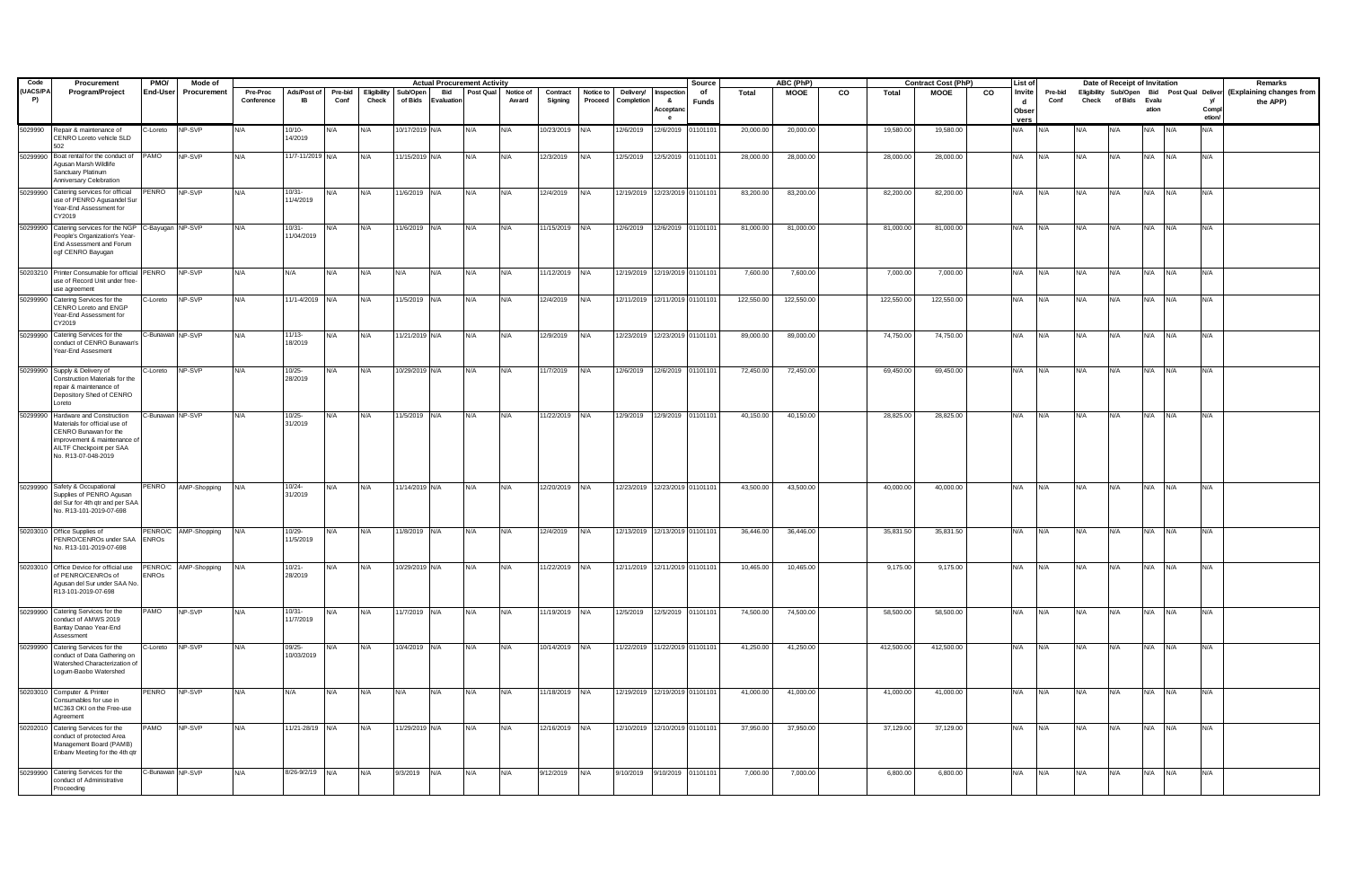| Code                   | Procurement                                                                                                                                                                    | PMO/             | Mode of              |                        |                          |                 |                      |                     |                  | <b>Actual Procurement Activity</b> |                    |                     |                      |                                |                                  | Source             |            | ABC (PhP)   |    |            | <b>Contract Cost (PhP)</b> |                | List of                      |                 |            | Date of Receipt of Invitation |             |     |                 | Remarks                                                                         |
|------------------------|--------------------------------------------------------------------------------------------------------------------------------------------------------------------------------|------------------|----------------------|------------------------|--------------------------|-----------------|----------------------|---------------------|------------------|------------------------------------|--------------------|---------------------|----------------------|--------------------------------|----------------------------------|--------------------|------------|-------------|----|------------|----------------------------|----------------|------------------------------|-----------------|------------|-------------------------------|-------------|-----|-----------------|---------------------------------------------------------------------------------|
| (UACS/PA<br><b>P</b> ) | Program/Project                                                                                                                                                                | End-User         | Procurement          | Pre-Proc<br>Conference | Ads/Post of<br><b>IB</b> | Pre-bid<br>Conf | Eligibility<br>Check | Sub/Open<br>of Bids | Bid<br>Evaluatio | Post Qual                          | Notice of<br>Award | Contract<br>Signing | Notice to<br>Proceed | Deliverv/<br>Completi          | Inspectio<br>-8<br>Acceptan<br>e | of<br><b>Funds</b> | Total      | <b>MOOE</b> | co | Total      | <b>MOOE</b>                | $\overline{c}$ | Invite<br>d<br>Obser<br>vers | Pre-bid<br>Conf | Check      | of Bids Evalu                 | ation       |     | Compl<br>etion/ | Eligibility Sub/Open Bid Post Qual Deliver (Explaining changes from<br>the APP) |
| 5029990                | Repair & maintenance of<br>CENRO Loreto vehicle SLD<br>502                                                                                                                     | C-Loreto         | NP-SVP               | N/A                    | $10/10 -$<br>14/2019     | N/A             | N/A                  | 10/17/2019 N/A      |                  | N/A                                | N/A                | 10/23/2019          | N/A                  | 12/6/2019                      | 12/6/2019 01101101               |                    | 20,000.00  | 20,000.00   |    | 19,580.00  | 19,580.00                  |                | <b>V/A</b>                   |                 |            |                               |             |     | N/A             |                                                                                 |
|                        | 50299990 Boat rental for the conduct of PAMO<br>Agusan Marsh Wildlife<br>Sanctuary Platinum<br>Anniversary Celebration                                                         |                  | NP-SVP               | N/A                    | 11/7-11/2019 N/A         |                 | N/A                  | 11/15/2019 N/A      |                  | N/A                                | N/A                | 12/3/2019           | N/A                  | 12/5/2019  12/5/2019  01101101 |                                  |                    | 28,000.00  | 28,000.00   |    | 28,000.00  | 28,000.00                  |                | N/A                          | N/A             | N/A        | N/A                           | N/A N/A     |     | N/A             |                                                                                 |
|                        | 50299990 Catering services for official<br>use of PENRO Agusandel Sur<br>Year-End Assessment for<br>CY2019                                                                     | PENRO            | NP-SVP               | N/A                    | $10/31 -$<br>11/4/2019   | N/A             | N/A                  | 11/6/2019 N/A       |                  | N/A                                | N/A                | 12/4/2019           | N/A                  | 12/19/2019 12/23/2019 01101101 |                                  |                    | 83,200.00  | 83,200.00   |    | 82,200.00  | 82,200.00                  |                | N/A                          | N/A             | N/A        | N/A                           | N/A         | N/A | N/A             |                                                                                 |
| 50299990               | Catering services for the NGP C-Bayugan NP-SVP<br>People's Organization's Year-<br>End Assessment and Forum<br>ogf CENRO Bayugan                                               |                  |                      | N/A                    | $10/31 -$<br>11/04/2019  | N/A             | N/A                  | 11/6/2019 N/A       |                  | <b>N/A</b>                         | N/A                | 11/15/2019 N/A      |                      | 12/6/2019                      | 12/6/2019 01101101               |                    | 81,000.00  | 81,000.00   |    | 81,000.00  | 81,000.00                  |                | N/A                          | N/A             | <b>N/A</b> | N/A                           | N/A         | N/A | N/A             |                                                                                 |
|                        | 50203210 Printer Consumable for official PENRO NP-SVP<br>use of Record Unit under free-<br>use agreement                                                                       |                  |                      | N/A                    | N/A                      | N/A             | N/A                  | N/A                 | N/A              | N/A                                | N/A                | 11/12/2019 N/A      |                      | 12/19/2019 12/19/2019 01101101 |                                  |                    | 7,600.00   | 7,600.00    |    | 7,000.00   | 7,000.00                   |                | N/A                          | N/A             | N/A        | N/A                           | N/A N/A     |     | N/A             |                                                                                 |
|                        | 50299990 Catering Services for the<br>CENRO Loreto and ENGP<br>Year-End Assessment for<br>CY2019                                                                               | C-Loreto         | NP-SVP               | N/A                    | 11/1-4/2019 N/A          |                 | N/A                  | 11/5/2019           | N/A              | N/A                                | N/A                | 12/4/2019           | N/A                  | 12/11/2019 12/11/2019 01101101 |                                  |                    | 122,550.00 | 122,550.00  |    | 122,550.00 | 122,550.00                 |                | N/A                          | N/A             | N/A        | N/A                           | N/A         | N/A | N/A             |                                                                                 |
| 50299990               | Catering Services for the<br>conduct of CENRO Bunawan's<br>ear-End Assesment                                                                                                   | C-Bunawan NP-SVP |                      | N/A                    | $11/13 -$<br>18/2019     | N/A             | N/A                  | 11/21/2019 N/A      |                  | N/A                                | N/A                | 12/9/2019           | N/A                  | 12/23/2019 12/23/2019 01101101 |                                  |                    | 89,000.00  | 89,000.00   |    | 74,750.00  | 74,750.00                  |                | N/A                          | N/A             | N/A        | N/A                           | N/A N/A     |     | N/A             |                                                                                 |
|                        | 50299990 Supply & Delivery of<br>Construction Materials for the<br>repair & maintenance of<br>Depository Shed of CENRO<br>oreto                                                | C-Loreto         | NP-SVP               | N/A                    | $10/25 -$<br>28/2019     | N/A             | N/A                  | 10/29/2019 N/A      |                  | N/A                                | N/A                | 11/7/2019           | N/A                  | 12/6/2019                      | 12/6/2019 01101101               |                    | 72,450.00  | 72,450.00   |    | 69,450.00  | 69,450.00                  |                | N/A                          | N/A             | N/A        | N/A                           | N/A N/A     |     | N/A             |                                                                                 |
|                        | 50299990 Hardware and Construction<br>Materials for official use of<br>CENRO Bunawan for the<br>improvement & maintenance o<br>AILTF Checkpoint per SAA<br>No. R13-07-048-2019 | C-Bunawan NP-SVP |                      | N/A                    | $10/25 -$<br>31/2019     | N/A             | N/A                  | 11/5/2019 N/A       |                  | N/A                                | N/A                | 11/22/2019 N/A      |                      | 12/9/2019                      |                                  | 12/9/2019 01101101 | 40,150.00  | 40,150.00   |    | 28,825.00  | 28,825.00                  |                | N/A                          | N/A             | N/A        | N/A                           | N/A         | N/A | N/A             |                                                                                 |
|                        | 50299990 Safety & Occupational<br>Supplies of PENRO Agusan<br>del Sur for 4th qtr and per SAA<br>No. R13-101-2019-07-698                                                       | PENRO            | AMP-Shopping         | N/A                    | 10/24-<br>31/2019        | N/A             | N/A                  | 11/14/2019 N/A      |                  | N/A                                | N/A                | 12/20/2019 N/A      |                      | 12/23/2019 12/23/2019 01101101 |                                  |                    | 43,500.00  | 43,500.00   |    | 40,000.00  | 40,000.00                  |                | N/A                          | N/A             | N/A        | N/A                           | N/A N/A     |     | N/A             |                                                                                 |
|                        | 50203010 Office Supplies of<br>PENRO/CENROs under SAA<br>No. R13-101-2019-07-698                                                                                               | <b>ENROS</b>     | PENRO/C AMP-Shopping | N/A                    | $10/29 -$<br>11/5/2019   | N/A             | N/A                  | 11/8/2019 N/A       |                  | N/A                                | N/A                | 12/4/2019           | N/A                  |                                | 12/13/2019 12/13/2019 01101101   |                    | 36,446.00  | 36,446.00   |    | 35,831.50  | 35,831.50                  |                | N/A                          | N/A             | N/A        | N/A                           | N/A         | N/A | N/A             |                                                                                 |
|                        | 50203010 Office Device for official use<br>of PENRO/CENROs of<br>Agusan del Sur under SAA No.<br>R13-101-2019-07-698                                                           | <b>ENROS</b>     | PENRO/C AMP-Shopping | N/A                    | $10/21 -$<br>28/2019     | N/A             | N/A                  | 10/29/2019 N/A      |                  | N/A                                | N/A                | 11/22/2019          | N/A                  | 12/11/2019 12/11/2019 01101101 |                                  |                    | 10,465.00  | 10,465.00   |    | 9,175.00   | 9,175.00                   |                | N/A                          | N/A             | <b>N/A</b> | N/A                           | $N/A$ $N/A$ |     | N/A             |                                                                                 |
|                        | 50299990 Catering Services for the<br>onduct of AMWS 2019<br>Bantav Danao Year-End<br>Assessment                                                                               | PAMO             | NP-SVP               | N/A                    | $10/31 -$<br>11/7/2019   | N/A             | N/A                  | 11/7/2019 N/A       |                  | N/A                                | N/A                | 11/19/2019 N/A      |                      | 12/5/2019  12/5/2019  01101101 |                                  |                    | 74,500.00  | 74,500.00   |    | 58,500.00  | 58,500.00                  |                | N/A                          | N/A             | N/A        | N/A                           | N/A N/A     |     | N/A             |                                                                                 |
|                        | 50299990 Catering Services for the<br>conduct of Data Gathering on<br><b>Natershed Characterization of</b><br>Logum-Baobo Watershed                                            | C-Loreto         | NP-SVP               | N/A                    | 09/25-<br>10/03/2019     | N/A             | N/A                  | 10/4/2019           | N/A              | N/A                                | N/A                | 10/14/2019          | N/A                  |                                | 1/22/2019 11/22/2019 0110110     |                    | 41,250.00  | 41,250.00   |    | 412,500.00 | 412,500.00                 |                | N/A                          | N/A             | N/A        | N/A                           | N/A         | N/A | N/A             |                                                                                 |
|                        | 50203010 Computer & Printer<br>Consumables for use in<br>MC363 OKI on the Free-use<br>Agreement                                                                                | PENRO NP-SVP     |                      | N/A                    | N/A                      | N/A             | N/A                  | N/A                 | N/A              | N/A                                | N/A                | 11/18/2019 N/A      |                      | 12/19/2019 12/19/2019 01101101 |                                  |                    | 41,000.00  | 41,000.00   |    | 41,000.00  | 41,000.00                  |                | N/A                          | N/A             | N/A        | N/A                           | N/A N/A     |     | N/A             |                                                                                 |
|                        | 50202010 Catering Services for the<br>conduct of protected Area<br>Management Board (PAMB)<br>Enbanv Meeting for the 4th qtr                                                   | PAMO             | NP-SVP               | N/A                    | 11/21-28/19 N/A          |                 | N/A                  | 11/29/2019 N/A      |                  | N/A                                | N/A                | 12/16/2019 N/A      |                      | 12/10/2019 12/10/2019 01101101 |                                  |                    | 37,950.00  | 37,950.00   |    | 37,129.00  | 37,129.00                  |                | N/A                          | N/A             | N/A        | N/A                           | N/A N/A     |     | N/A             |                                                                                 |
|                        | 50299990 Catering Services for the<br>conduct of Administrative<br>Proceeding                                                                                                  | C-Bunawan NP-SVP |                      | N/A                    | 8/26-9/2/19 N/A          |                 | N/A                  | 9/3/2019            | N/A              | <b>N/A</b>                         | N/A                | 9/12/2019           | N/A                  | 9/10/2019                      | 9/10/2019 01101101               |                    | 7,000.00   | 7,000.00    |    | 6,800.00   | 6,800.00                   |                | N/A                          | N/A             | <b>N/A</b> | N/A                           | N/A N/A     |     | N/A             |                                                                                 |